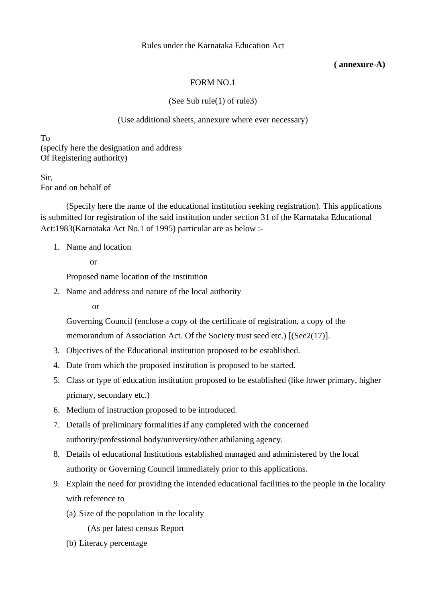## **( annexure-A)**

# FORM NO.1

## (See Sub rule(1) of rule3)

#### (Use additional sheets, annexure where ever necessary)

To (specify here the designation and address Of Registering authority)

Sir, For and on behalf of

 (Specify here the name of the educational institution seeking registration). This applications is submitted for registration of the said institution under section 31 of the Karnataka Educational Act:1983(Karnataka Act No.1 of 1995) particular are as below :-

1. Name and location

or

Proposed name location of the institution

2. Name and address and nature of the local authority

or

Governing Council (enclose a copy of the certificate of registration, a copy of the memorandum of Association Act. Of the Society trust seed etc.) [(See2(17)].

- 3. Objectives of the Educational institution proposed to be established.
- 4. Date from which the proposed institution is proposed to be started.
- 5. Class or type of education institution proposed to be established (like lower primary, higher primary, secondary etc.)
- 6. Medium of instruction proposed to be introduced.
- 7. Details of preliminary formalities if any completed with the concerned authority/professional body/university/other athilaning agency.
- 8. Details of educational Institutions established managed and administered by the local authority or Governing Council immediately prior to this applications.
- 9. Explain the need for providing the intended educational facilities to the people in the locality with reference to
	- (a) Size of the population in the locality

(As per latest census Report

(b) Literacy percentage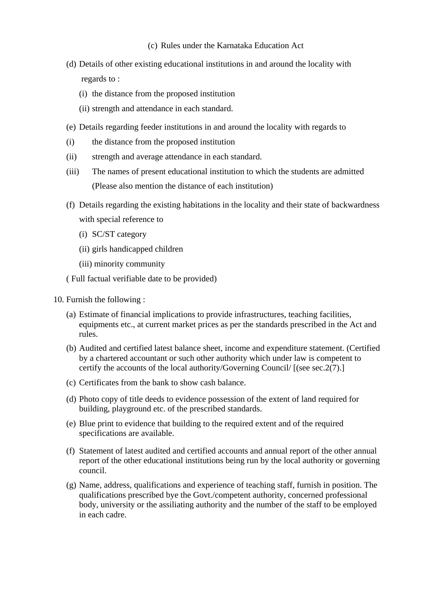#### (c) Rules under the Karnataka Education Act

- (d) Details of other existing educational institutions in and around the locality with regards to :
	- (i) the distance from the proposed institution
	- (ii) strength and attendance in each standard.
- (e) Details regarding feeder institutions in and around the locality with regards to
- (i) the distance from the proposed institution
- (ii) strength and average attendance in each standard.
- (iii) The names of present educational institution to which the students are admitted (Please also mention the distance of each institution)
- (f) Details regarding the existing habitations in the locality and their state of backwardness with special reference to
	- (i) SC/ST category
	- (ii) girls handicapped children
	- (iii) minority community
- ( Full factual verifiable date to be provided)
- 10. Furnish the following :
	- (a) Estimate of financial implications to provide infrastructures, teaching facilities, equipments etc., at current market prices as per the standards prescribed in the Act and rules.
	- (b) Audited and certified latest balance sheet, income and expenditure statement. (Certified by a chartered accountant or such other authority which under law is competent to certify the accounts of the local authority/Governing Council/ [(see sec.2(7).]
	- (c) Certificates from the bank to show cash balance.
	- (d) Photo copy of title deeds to evidence possession of the extent of land required for building, playground etc. of the prescribed standards.
	- (e) Blue print to evidence that building to the required extent and of the required specifications are available.
	- (f) Statement of latest audited and certified accounts and annual report of the other annual report of the other educational institutions being run by the local authority or governing council.
	- (g) Name, address, qualifications and experience of teaching staff, furnish in position. The qualifications prescribed bye the Govt./competent authority, concerned professional body, university or the assiliating authority and the number of the staff to be employed in each cadre.